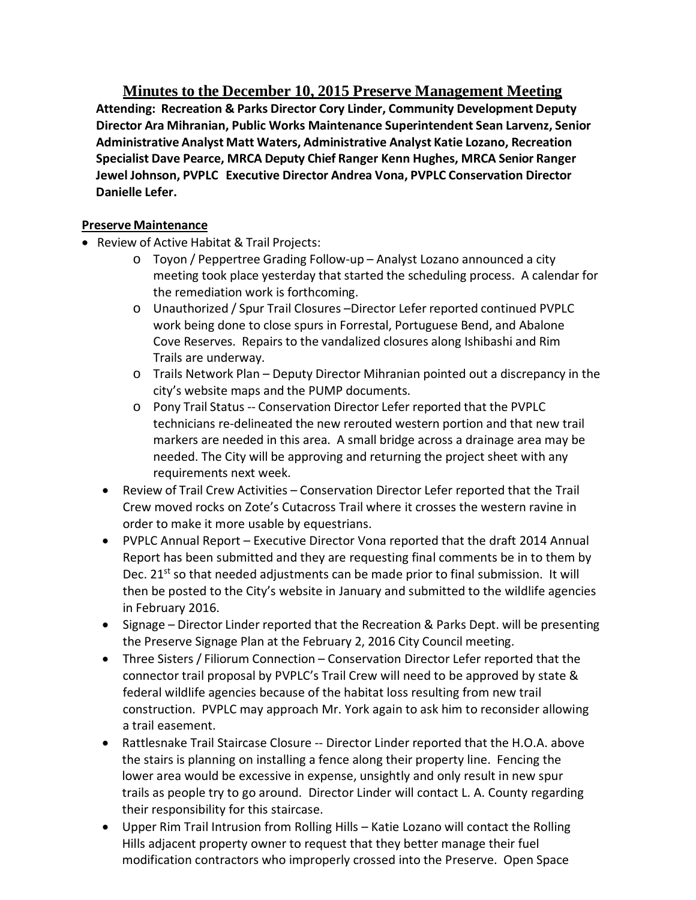**Minutes to the December 10, 2015 Preserve Management Meeting Attending: Recreation & Parks Director Cory Linder, Community Development Deputy Director Ara Mihranian, Public Works Maintenance Superintendent Sean Larvenz, Senior Administrative Analyst Matt Waters, Administrative Analyst Katie Lozano, Recreation Specialist Dave Pearce, MRCA Deputy Chief Ranger Kenn Hughes, MRCA Senior Ranger Jewel Johnson, PVPLC Executive Director Andrea Vona, PVPLC Conservation Director Danielle Lefer.**

## **Preserve Maintenance**

- Review of Active Habitat & Trail Projects:
	- o Toyon / Peppertree Grading Follow-up Analyst Lozano announced a city meeting took place yesterday that started the scheduling process. A calendar for the remediation work is forthcoming.
	- o Unauthorized / Spur Trail Closures –Director Lefer reported continued PVPLC work being done to close spurs in Forrestal, Portuguese Bend, and Abalone Cove Reserves. Repairs to the vandalized closures along Ishibashi and Rim Trails are underway.
	- o Trails Network Plan Deputy Director Mihranian pointed out a discrepancy in the city's website maps and the PUMP documents.
	- o Pony Trail Status -- Conservation Director Lefer reported that the PVPLC technicians re-delineated the new rerouted western portion and that new trail markers are needed in this area. A small bridge across a drainage area may be needed. The City will be approving and returning the project sheet with any requirements next week.
	- Review of Trail Crew Activities Conservation Director Lefer reported that the Trail Crew moved rocks on Zote's Cutacross Trail where it crosses the western ravine in order to make it more usable by equestrians.
	- PVPLC Annual Report Executive Director Vona reported that the draft 2014 Annual Report has been submitted and they are requesting final comments be in to them by Dec. 21<sup>st</sup> so that needed adjustments can be made prior to final submission. It will then be posted to the City's website in January and submitted to the wildlife agencies in February 2016.
	- Signage Director Linder reported that the Recreation & Parks Dept. will be presenting the Preserve Signage Plan at the February 2, 2016 City Council meeting.
	- Three Sisters / Filiorum Connection Conservation Director Lefer reported that the connector trail proposal by PVPLC's Trail Crew will need to be approved by state & federal wildlife agencies because of the habitat loss resulting from new trail construction. PVPLC may approach Mr. York again to ask him to reconsider allowing a trail easement.
	- Rattlesnake Trail Staircase Closure -- Director Linder reported that the H.O.A. above the stairs is planning on installing a fence along their property line. Fencing the lower area would be excessive in expense, unsightly and only result in new spur trails as people try to go around. Director Linder will contact L. A. County regarding their responsibility for this staircase.
	- Upper Rim Trail Intrusion from Rolling Hills Katie Lozano will contact the Rolling Hills adjacent property owner to request that they better manage their fuel modification contractors who improperly crossed into the Preserve. Open Space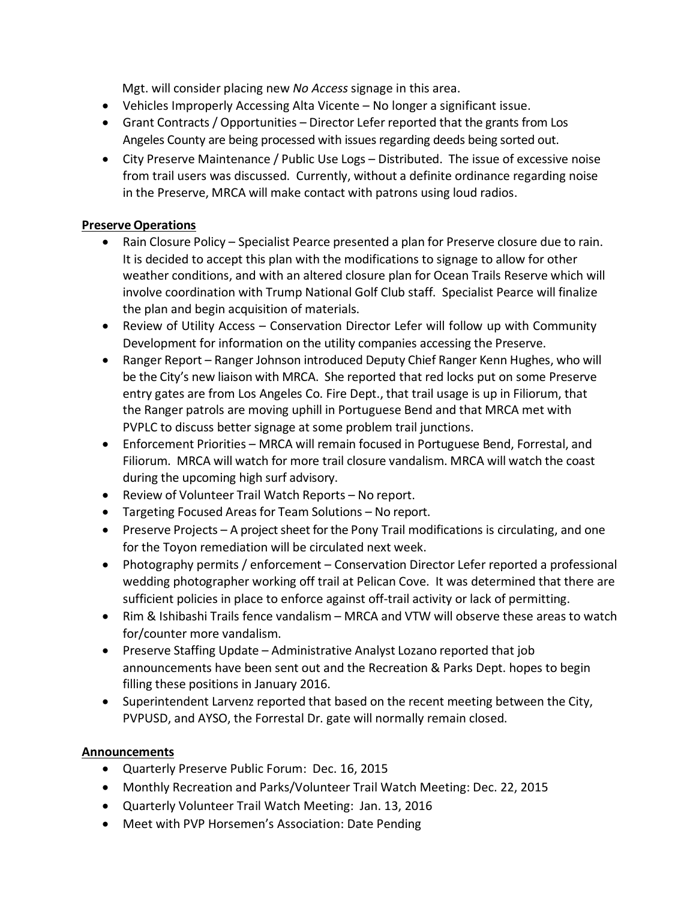Mgt. will consider placing new *No Access* signage in this area.

- Vehicles Improperly Accessing Alta Vicente No longer a significant issue.
- Grant Contracts / Opportunities Director Lefer reported that the grants from Los Angeles County are being processed with issues regarding deeds being sorted out.
- City Preserve Maintenance / Public Use Logs Distributed. The issue of excessive noise from trail users was discussed. Currently, without a definite ordinance regarding noise in the Preserve, MRCA will make contact with patrons using loud radios.

## **Preserve Operations**

- Rain Closure Policy Specialist Pearce presented a plan for Preserve closure due to rain. It is decided to accept this plan with the modifications to signage to allow for other weather conditions, and with an altered closure plan for Ocean Trails Reserve which will involve coordination with Trump National Golf Club staff. Specialist Pearce will finalize the plan and begin acquisition of materials.
- Review of Utility Access Conservation Director Lefer will follow up with Community Development for information on the utility companies accessing the Preserve.
- Ranger Report Ranger Johnson introduced Deputy Chief Ranger Kenn Hughes, who will be the City's new liaison with MRCA. She reported that red locks put on some Preserve entry gates are from Los Angeles Co. Fire Dept., that trail usage is up in Filiorum, that the Ranger patrols are moving uphill in Portuguese Bend and that MRCA met with PVPLC to discuss better signage at some problem trail junctions.
- Enforcement Priorities MRCA will remain focused in Portuguese Bend, Forrestal, and Filiorum. MRCA will watch for more trail closure vandalism. MRCA will watch the coast during the upcoming high surf advisory.
- Review of Volunteer Trail Watch Reports No report.
- Targeting Focused Areas for Team Solutions No report.
- Preserve Projects A project sheet for the Pony Trail modifications is circulating, and one for the Toyon remediation will be circulated next week.
- Photography permits / enforcement Conservation Director Lefer reported a professional wedding photographer working off trail at Pelican Cove. It was determined that there are sufficient policies in place to enforce against off-trail activity or lack of permitting.
- Rim & Ishibashi Trails fence vandalism MRCA and VTW will observe these areas to watch for/counter more vandalism.
- Preserve Staffing Update Administrative Analyst Lozano reported that job announcements have been sent out and the Recreation & Parks Dept. hopes to begin filling these positions in January 2016.
- Superintendent Larvenz reported that based on the recent meeting between the City, PVPUSD, and AYSO, the Forrestal Dr. gate will normally remain closed.

## **Announcements**

- Quarterly Preserve Public Forum: Dec. 16, 2015
- Monthly Recreation and Parks/Volunteer Trail Watch Meeting: Dec. 22, 2015
- Quarterly Volunteer Trail Watch Meeting: Jan. 13, 2016
- Meet with PVP Horsemen's Association: Date Pending